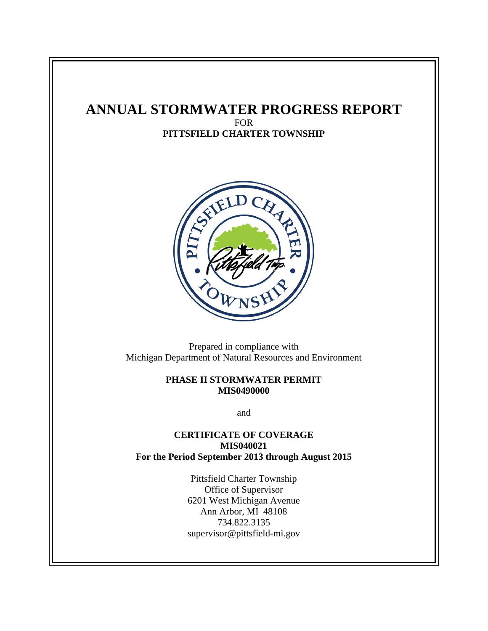## **ANNUAL STORMWATER PROGRESS REPORT** FOR

**PITTSFIELD CHARTER TOWNSHIP**



Prepared in compliance with Michigan Department of Natural Resources and Environment

#### **PHASE II STORMWATER PERMIT MIS0490000**

and

### **CERTIFICATE OF COVERAGE MIS040021 For the Period September 2013 through August 2015**

Pittsfield Charter Township Office of Supervisor 6201 West Michigan Avenue Ann Arbor, MI 48108 734.822.3135 supervisor@pittsfield-mi.gov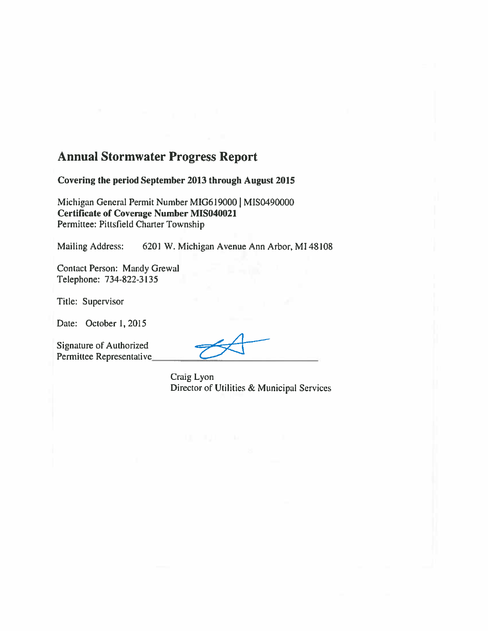# **Annual Stormwater Progress Report**

Covering the period September 2013 through August 2015

Michigan General Permit Number MIG619000 | MIS0490000 **Certificate of Coverage Number MIS040021** Permittee: Pittsfield Charter Township

6201 W. Michigan Avenue Ann Arbor, MI 48108 Mailing Address:

**Contact Person: Mandy Grewal** Telephone: 734-822-3135

Title: Supervisor

Date: October 1, 2015

Signature of Authorized Permittee Representative

Craig Lyon Director of Utilities & Municipal Services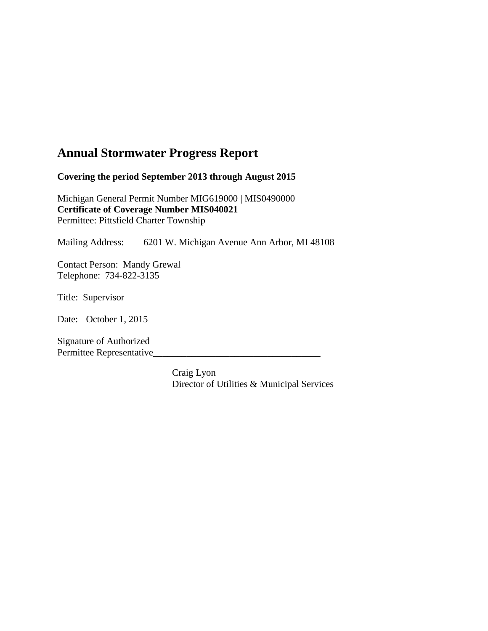# **Annual Stormwater Progress Report**

**Covering the period September 2013 through August 2015**

Michigan General Permit Number MIG619000 | MIS0490000 **Certificate of Coverage Number MIS040021** Permittee: Pittsfield Charter Township

Mailing Address: 6201 W. Michigan Avenue Ann Arbor, MI 48108

Contact Person: Mandy Grewal Telephone: 734-822-3135

Title: Supervisor

Date: October 1, 2015

Signature of Authorized Permittee Representative\_\_\_\_\_\_\_\_\_\_\_\_\_\_\_\_\_\_\_\_\_\_\_\_\_\_\_\_\_\_\_\_\_\_\_

> Craig Lyon Director of Utilities & Municipal Services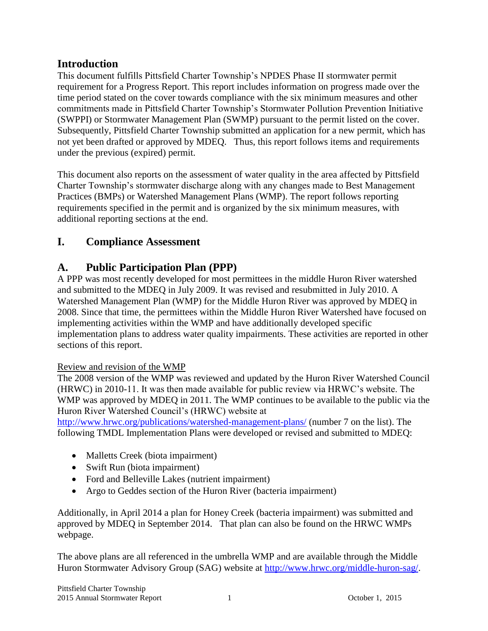## **Introduction**

This document fulfills Pittsfield Charter Township's NPDES Phase II stormwater permit requirement for a Progress Report. This report includes information on progress made over the time period stated on the cover towards compliance with the six minimum measures and other commitments made in Pittsfield Charter Township's Stormwater Pollution Prevention Initiative (SWPPI) or Stormwater Management Plan (SWMP) pursuant to the permit listed on the cover. Subsequently, Pittsfield Charter Township submitted an application for a new permit, which has not yet been drafted or approved by MDEQ. Thus, this report follows items and requirements under the previous (expired) permit.

This document also reports on the assessment of water quality in the area affected by Pittsfield Charter Township's stormwater discharge along with any changes made to Best Management Practices (BMPs) or Watershed Management Plans (WMP). The report follows reporting requirements specified in the permit and is organized by the six minimum measures, with additional reporting sections at the end.

# **I. Compliance Assessment**

## **A. Public Participation Plan (PPP)**

A PPP was most recently developed for most permittees in the middle Huron River watershed and submitted to the MDEQ in July 2009. It was revised and resubmitted in July 2010. A Watershed Management Plan (WMP) for the Middle Huron River was approved by MDEQ in 2008. Since that time, the permittees within the Middle Huron River Watershed have focused on implementing activities within the WMP and have additionally developed specific implementation plans to address water quality impairments. These activities are reported in other sections of this report.

## Review and revision of the WMP

The 2008 version of the WMP was reviewed and updated by the Huron River Watershed Council (HRWC) in 2010-11. It was then made available for public review via HRWC's website. The WMP was approved by MDEQ in 2011. The WMP continues to be available to the public via the Huron River Watershed Council's (HRWC) website at

<http://www.hrwc.org/publications/watershed-management-plans/> (number 7 on the list). The following TMDL Implementation Plans were developed or revised and submitted to MDEQ:

- Malletts Creek (biota impairment)
- Swift Run (biota impairment)
- Ford and Belleville Lakes (nutrient impairment)
- Argo to Geddes section of the Huron River (bacteria impairment)

Additionally, in April 2014 a plan for Honey Creek (bacteria impairment) was submitted and approved by MDEQ in September 2014. That plan can also be found on the HRWC WMPs webpage.

The above plans are all referenced in the umbrella WMP and are available through the Middle Huron Stormwater Advisory Group (SAG) website at [http://www.hrwc.org/middle-huron-sag/.](http://www.hrwc.org/middle-huron-sag/)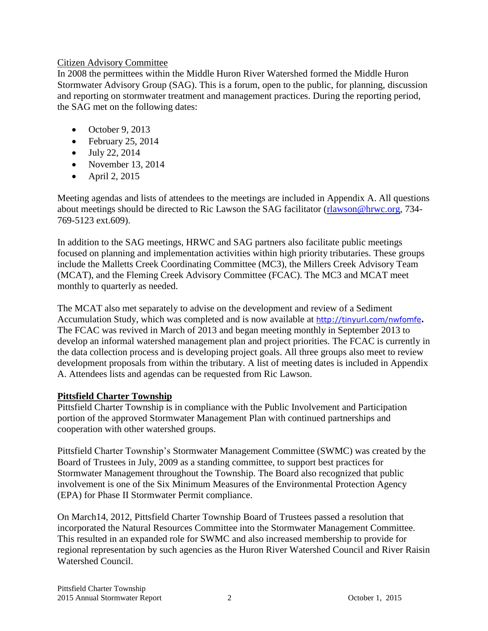#### Citizen Advisory Committee

In 2008 the permittees within the Middle Huron River Watershed formed the Middle Huron Stormwater Advisory Group (SAG). This is a forum, open to the public, for planning, discussion and reporting on stormwater treatment and management practices. During the reporting period, the SAG met on the following dates:

- $\bullet$  October 9, 2013
- $\bullet$  February 25, 2014
- $\bullet$  July 22, 2014
- November 13, 2014
- $\bullet$  April 2, 2015

Meeting agendas and lists of attendees to the meetings are included in Appendix A. All questions about meetings should be directed to Ric Lawson the SAG facilitator [\(rlawson@hrwc.org,](mailto:rlawson@hrwc.org) 734- 769-5123 ext.609).

In addition to the SAG meetings, HRWC and SAG partners also facilitate public meetings focused on planning and implementation activities within high priority tributaries. These groups include the Malletts Creek Coordinating Committee (MC3), the Millers Creek Advisory Team (MCAT), and the Fleming Creek Advisory Committee (FCAC). The MC3 and MCAT meet monthly to quarterly as needed.

The MCAT also met separately to advise on the development and review of a Sediment Accumulation Study, which was completed and is now available at <http://tinyurl.com/nwfomfe>**.**  The FCAC was revived in March of 2013 and began meeting monthly in September 2013 to develop an informal watershed management plan and project priorities. The FCAC is currently in the data collection process and is developing project goals. All three groups also meet to review development proposals from within the tributary. A list of meeting dates is included in Appendix A. Attendees lists and agendas can be requested from Ric Lawson.

### **Pittsfield Charter Township**

Pittsfield Charter Township is in compliance with the Public Involvement and Participation portion of the approved Stormwater Management Plan with continued partnerships and cooperation with other watershed groups.

Pittsfield Charter Township's Stormwater Management Committee (SWMC) was created by the Board of Trustees in July, 2009 as a standing committee, to support best practices for Stormwater Management throughout the Township. The Board also recognized that public involvement is one of the Six Minimum Measures of the Environmental Protection Agency (EPA) for Phase II Stormwater Permit compliance.

On March14, 2012, Pittsfield Charter Township Board of Trustees passed a resolution that incorporated the Natural Resources Committee into the Stormwater Management Committee. This resulted in an expanded role for SWMC and also increased membership to provide for regional representation by such agencies as the Huron River Watershed Council and River Raisin Watershed Council.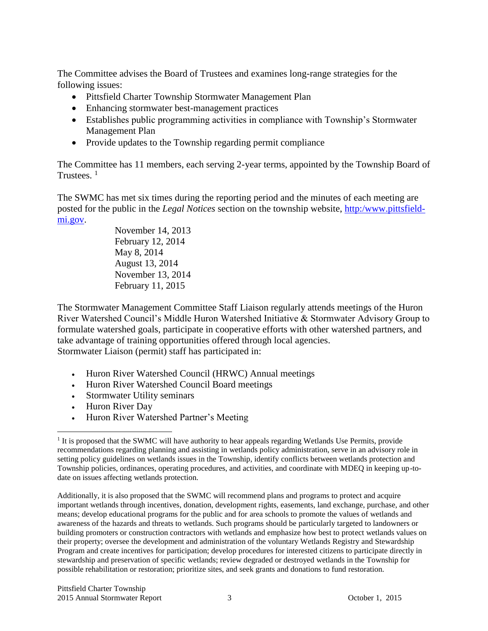The Committee advises the Board of Trustees and examines long-range strategies for the following issues:

- Pittsfield Charter Township Stormwater Management Plan
- Enhancing stormwater best-management practices
- Establishes public programming activities in compliance with Township's Stormwater Management Plan
- Provide updates to the Township regarding permit compliance

The Committee has 11 members, each serving 2-year terms, appointed by the Township Board of Trustees. <sup>1</sup>

The SWMC has met six times during the reporting period and the minutes of each meeting are posted for the public in the *Legal Notices* section on the township website, [http:/www.pittsfield](http://www.pittsfield-mi.gov/)[mi.gov.](http://www.pittsfield-mi.gov/)

> November 14, 2013 February 12, 2014 May 8, 2014 August 13, 2014 November 13, 2014 February 11, 2015

The Stormwater Management Committee Staff Liaison regularly attends meetings of the Huron River Watershed Council's Middle Huron Watershed Initiative & Stormwater Advisory Group to formulate watershed goals, participate in cooperative efforts with other watershed partners, and take advantage of training opportunities offered through local agencies. Stormwater Liaison (permit) staff has participated in:

- Huron River Watershed Council (HRWC) Annual meetings
- Huron River Watershed Council Board meetings
- Stormwater Utility seminars
- Huron River Day
- Huron River Watershed Partner's Meeting

Additionally, it is also proposed that the SWMC will recommend plans and programs to protect and acquire important wetlands through incentives, donation, development rights, easements, land exchange, purchase, and other means; develop educational programs for the public and for area schools to promote the values of wetlands and awareness of the hazards and threats to wetlands. Such programs should be particularly targeted to landowners or building promoters or construction contractors with wetlands and emphasize how best to protect wetlands values on their property; oversee the development and administration of the voluntary Wetlands Registry and Stewardship Program and create incentives for participation; develop procedures for interested citizens to participate directly in stewardship and preservation of specific wetlands; review degraded or destroyed wetlands in the Township for possible rehabilitation or restoration; prioritize sites, and seek grants and donations to fund restoration.

 $\overline{a}$ <sup>1</sup> It is proposed that the SWMC will have authority to hear appeals regarding Wetlands Use Permits, provide recommendations regarding planning and assisting in wetlands policy administration, serve in an advisory role in setting policy guidelines on wetlands issues in the Township, identify conflicts between wetlands protection and Township policies, ordinances, operating procedures, and activities, and coordinate with MDEQ in keeping up-todate on issues affecting wetlands protection.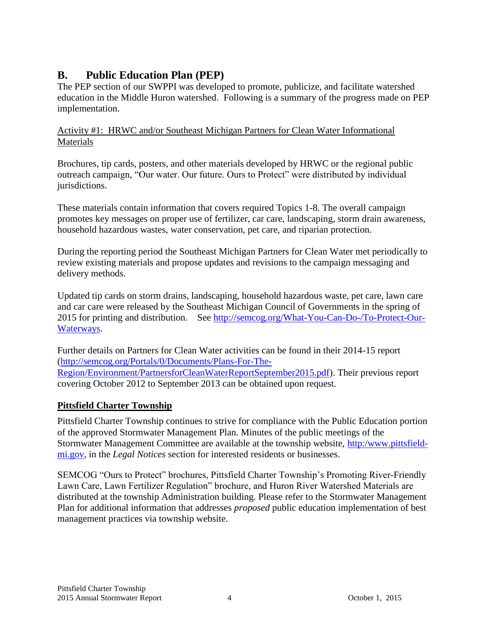## **B. Public Education Plan (PEP)**

The PEP section of our SWPPI was developed to promote, publicize, and facilitate watershed education in the Middle Huron watershed. Following is a summary of the progress made on PEP implementation.

## Activity #1: HRWC and/or Southeast Michigan Partners for Clean Water Informational **Materials**

Brochures, tip cards, posters, and other materials developed by HRWC or the regional public outreach campaign, "Our water. Our future. Ours to Protect" were distributed by individual jurisdictions.

These materials contain information that covers required Topics 1-8. The overall campaign promotes key messages on proper use of fertilizer, car care, landscaping, storm drain awareness, household hazardous wastes, water conservation, pet care, and riparian protection.

During the reporting period the Southeast Michigan Partners for Clean Water met periodically to review existing materials and propose updates and revisions to the campaign messaging and delivery methods.

Updated tip cards on storm drains, landscaping, household hazardous waste, pet care, lawn care and car care were released by the Southeast Michigan Council of Governments in the spring of 2015 for printing and distribution. See [http://semcog.org/What-You-Can-Do-/To-Protect-Our-](http://semcog.org/What-You-Can-Do-/To-Protect-Our-Waterways)[Waterways.](http://semcog.org/What-You-Can-Do-/To-Protect-Our-Waterways)

Further details on Partners for Clean Water activities can be found in their 2014-15 report [\(http://semcog.org/Portals/0/Documents/Plans-For-The-](http://semcog.org/Portals/0/Documents/Plans-For-The-Region/Environment/PartnersforCleanWaterReportSeptember2015.pdf)[Region/Environment/PartnersforCleanWaterReportSeptember2015.pdf\)](http://semcog.org/Portals/0/Documents/Plans-For-The-Region/Environment/PartnersforCleanWaterReportSeptember2015.pdf). Their previous report covering October 2012 to September 2013 can be obtained upon request.

## **Pittsfield Charter Township**

Pittsfield Charter Township continues to strive for compliance with the Public Education portion of the approved Stormwater Management Plan. Minutes of the public meetings of the Stormwater Management Committee are available at the township website, [http:/www.pittsfield](http://www.pittsfield-mi.gov/)[mi.gov,](http://www.pittsfield-mi.gov/) in the *Legal Notices* section for interested residents or businesses.

SEMCOG "Ours to Protect" brochures, Pittsfield Charter Township's Promoting River-Friendly Lawn Care, Lawn Fertilizer Regulation" brochure, and Huron River Watershed Materials are distributed at the township Administration building. Please refer to the Stormwater Management Plan for additional information that addresses *proposed* public education implementation of best management practices via township website.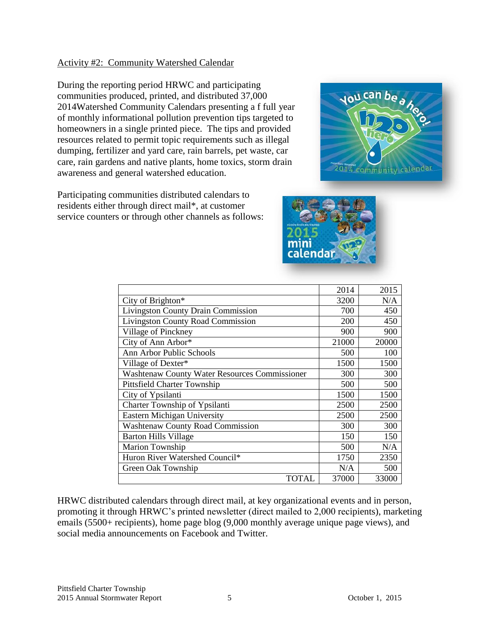#### Activity #2: Community Watershed Calendar

During the reporting period HRWC and participating communities produced, printed, and distributed 37,000 2014Watershed Community Calendars presenting a f full year of monthly informational pollution prevention tips targeted to homeowners in a single printed piece. The tips and provided resources related to permit topic requirements such as illegal dumping, fertilizer and yard care, rain barrels, pet waste, car care, rain gardens and native plants, home toxics, storm drain awareness and general watershed education.

Participating communities distributed calendars to residents either through direct mail\*, at customer service counters or through other channels as follows:





|                                                      | 2014  | 2015  |
|------------------------------------------------------|-------|-------|
| City of Brighton*                                    | 3200  | N/A   |
| <b>Livingston County Drain Commission</b>            | 700   | 450   |
| <b>Livingston County Road Commission</b>             | 200   | 450   |
| Village of Pinckney                                  | 900   | 900   |
| City of Ann Arbor*                                   | 21000 | 20000 |
| Ann Arbor Public Schools                             | 500   | 100   |
| Village of Dexter*                                   | 1500  | 1500  |
| <b>Washtenaw County Water Resources Commissioner</b> | 300   | 300   |
| Pittsfield Charter Township                          | 500   | 500   |
| City of Ypsilanti                                    | 1500  | 1500  |
| Charter Township of Ypsilanti                        | 2500  | 2500  |
| Eastern Michigan University                          | 2500  | 2500  |
| <b>Washtenaw County Road Commission</b>              | 300   | 300   |
| <b>Barton Hills Village</b>                          | 150   | 150   |
| Marion Township                                      | 500   | N/A   |
| Huron River Watershed Council*                       | 1750  | 2350  |
| Green Oak Township                                   | N/A   | 500   |
| TOTAL                                                | 37000 | 33000 |

HRWC distributed calendars through direct mail, at key organizational events and in person, promoting it through HRWC's printed newsletter (direct mailed to 2,000 recipients), marketing emails (5500+ recipients), home page blog (9,000 monthly average unique page views), and social media announcements on Facebook and Twitter.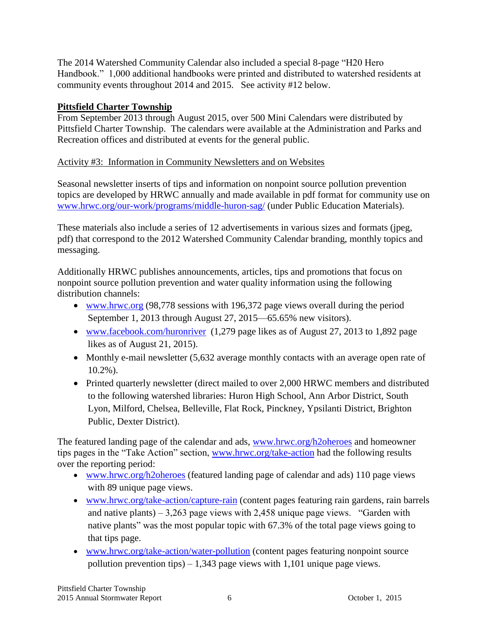The 2014 Watershed Community Calendar also included a special 8-page "H20 Hero Handbook." 1,000 additional handbooks were printed and distributed to watershed residents at community events throughout 2014 and 2015. See activity #12 below.

## **Pittsfield Charter Township**

From September 2013 through August 2015, over 500 Mini Calendars were distributed by Pittsfield Charter Township. The calendars were available at the Administration and Parks and Recreation offices and distributed at events for the general public.

## Activity #3: Information in Community Newsletters and on Websites

Seasonal newsletter inserts of tips and information on nonpoint source pollution prevention topics are developed by HRWC annually and made available in pdf format for community use on [www.hrwc.org/our-work/programs/middle-huron-sag/](http://www.hrwc.org/our-work/programs/middle-huron-sag/) (under Public Education Materials).

These materials also include a series of 12 advertisements in various sizes and formats (jpeg, pdf) that correspond to the 2012 Watershed Community Calendar branding, monthly topics and messaging.

Additionally HRWC publishes announcements, articles, tips and promotions that focus on nonpoint source pollution prevention and water quality information using the following distribution channels:

- [www.hrwc.org](http://www.hrwc.org/) (98,778 sessions with 196,372 page views overall during the period September 1, 2013 through August 27, 2015—65.65% new visitors).
- [www.facebook.com/huronriver](http://www.facebook.com/huronriver) (1,279 page likes as of August 27, 2013 to 1,892 page likes as of August 21, 2015).
- Monthly e-mail newsletter (5,632 average monthly contacts with an average open rate of 10.2%).
- Printed quarterly newsletter (direct mailed to over 2,000 HRWC members and distributed to the following watershed libraries: Huron High School, Ann Arbor District, South Lyon, Milford, Chelsea, Belleville, Flat Rock, Pinckney, Ypsilanti District, Brighton Public, Dexter District).

The featured landing page of the calendar and ads, [www.hrwc.org/h2oheroes](http://www.hrwc.org/h2oheroes) and homeowner tips pages in the "Take Action" section, [www.hrwc.org/take-action](http://www.hrwc.org/take-action) had the following results over the reporting period:

- [www.hrwc.org/h2oheroes](http://www.hrwc.org/h2oheroes) (featured landing page of calendar and ads) 110 page views with 89 unique page views.
- [www.hrwc.org/take-action/capture-rain](http://www.hrwc.org/take-action/capture-rain) (content pages featuring rain gardens, rain barrels and native plants) – 3,263 page views with 2,458 unique page views. "Garden with native plants" was the most popular topic with 67.3% of the total page views going to that tips page.
- [www.hrwc.org/take-action/water-pollution](http://www.hrwc.org/take-action/water-pollution) (content pages featuring nonpoint source pollution prevention tips) – 1,343 page views with 1,101 unique page views.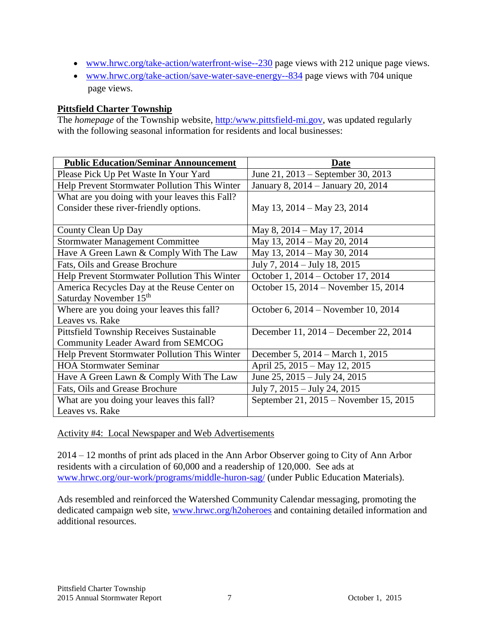- [www.hrwc.org/take-action/waterfront-wise--230](http://www.hrwc.org/take-action/waterfront-wise--230) page views with 212 unique page views.
- [www.hrwc.org/take-action/save-water-save-energy--834](http://www.hrwc.org/take-action/save-water-save-energy--834) page views with 704 unique page views.

## **Pittsfield Charter Township**

The *homepage* of the Township website, [http:/www.pittsfield-mi.gov,](http://www.pittsfield-mi.gov/) was updated regularly with the following seasonal information for residents and local businesses:

| <b>Public Education/Seminar Announcement</b>    | <b>Date</b>                            |
|-------------------------------------------------|----------------------------------------|
| Please Pick Up Pet Waste In Your Yard           | June 21, 2013 – September 30, 2013     |
| Help Prevent Stormwater Pollution This Winter   | January 8, 2014 – January 20, 2014     |
| What are you doing with your leaves this Fall?  |                                        |
| Consider these river-friendly options.          | May 13, 2014 – May 23, 2014            |
|                                                 |                                        |
| County Clean Up Day                             | May 8, 2014 – May 17, 2014             |
| <b>Stormwater Management Committee</b>          | May 13, 2014 – May 20, 2014            |
| Have A Green Lawn & Comply With The Law         | May 13, 2014 – May 30, 2014            |
| Fats, Oils and Grease Brochure                  | July 7, 2014 – July 18, 2015           |
| Help Prevent Stormwater Pollution This Winter   | October 1, 2014 – October 17, 2014     |
| America Recycles Day at the Reuse Center on     | October 15, 2014 – November 15, 2014   |
| Saturday November 15 <sup>th</sup>              |                                        |
| Where are you doing your leaves this fall?      | October 6, 2014 – November 10, 2014    |
| Leaves vs. Rake                                 |                                        |
| <b>Pittsfield Township Receives Sustainable</b> | December 11, 2014 – December 22, 2014  |
| Community Leader Award from SEMCOG              |                                        |
| Help Prevent Stormwater Pollution This Winter   | December 5, 2014 – March 1, 2015       |
| <b>HOA Stormwater Seminar</b>                   | April 25, 2015 – May 12, 2015          |
| Have A Green Lawn & Comply With The Law         | June 25, 2015 – July 24, 2015          |
| Fats, Oils and Grease Brochure                  | July 7, 2015 – July 24, 2015           |
| What are you doing your leaves this fall?       | September 21, 2015 – November 15, 2015 |
| Leaves vs. Rake                                 |                                        |

Activity #4: Local Newspaper and Web Advertisements

2014 – 12 months of print ads placed in the Ann Arbor Observer going to City of Ann Arbor residents with a circulation of 60,000 and a readership of 120,000. See ads at [www.hrwc.org/our-work/programs/middle-huron-sag/](http://www.hrwc.org/our-work/programs/middle-huron-sag/) (under Public Education Materials).

Ads resembled and reinforced the Watershed Community Calendar messaging, promoting the dedicated campaign web site, [www.hrwc.org/h2oheroes](http://www.hrwc.org/h2oheroes) and containing detailed information and additional resources.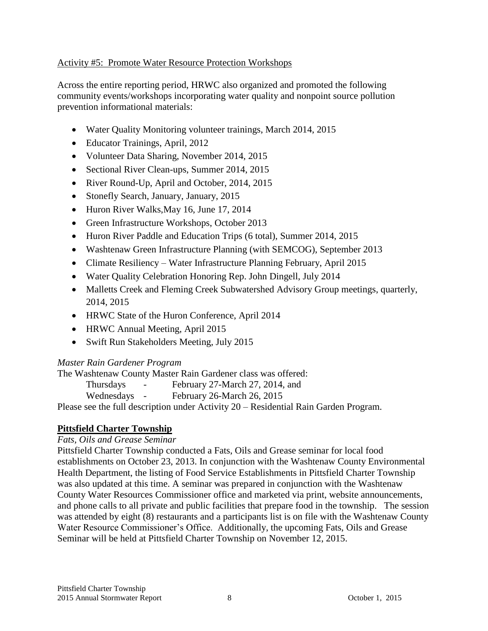### Activity #5: Promote Water Resource Protection Workshops

Across the entire reporting period, HRWC also organized and promoted the following community events/workshops incorporating water quality and nonpoint source pollution prevention informational materials:

- Water Quality Monitoring volunteer trainings, March 2014, 2015
- Educator Trainings, April, 2012
- Volunteer Data Sharing, November 2014, 2015
- Sectional River Clean-ups, Summer 2014, 2015
- River Round-Up, April and October, 2014, 2015
- Stonefly Search, January, January, 2015
- Huron River Walks, May 16, June 17, 2014
- Green Infrastructure Workshops, October 2013
- Huron River Paddle and Education Trips (6 total), Summer 2014, 2015
- Washtenaw Green Infrastructure Planning (with SEMCOG), September 2013
- Climate Resiliency Water Infrastructure Planning February, April 2015
- Water Quality Celebration Honoring Rep. John Dingell, July 2014
- Malletts Creek and Fleming Creek Subwatershed Advisory Group meetings, quarterly, 2014, 2015
- HRWC State of the Huron Conference, April 2014
- HRWC Annual Meeting, April 2015
- Swift Run Stakeholders Meeting, July 2015

#### *Master Rain Gardener Program*

The Washtenaw County Master Rain Gardener class was offered:

| <b>Thursdays</b> | $\overline{\phantom{0}}$ | February 27-March 27, 2014, and |
|------------------|--------------------------|---------------------------------|
| Wednesdays       |                          | February 26-March 26, 2015      |

Please see the full description under Activity 20 – Residential Rain Garden Program.

### **Pittsfield Charter Township**

#### *Fats, Oils and Grease Seminar*

Pittsfield Charter Township conducted a Fats, Oils and Grease seminar for local food establishments on October 23, 2013. In conjunction with the Washtenaw County Environmental Health Department, the listing of Food Service Establishments in Pittsfield Charter Township was also updated at this time. A seminar was prepared in conjunction with the Washtenaw County Water Resources Commissioner office and marketed via print, website announcements, and phone calls to all private and public facilities that prepare food in the township. The session was attended by eight (8) restaurants and a participants list is on file with the Washtenaw County Water Resource Commissioner's Office. Additionally, the upcoming Fats, Oils and Grease Seminar will be held at Pittsfield Charter Township on November 12, 2015.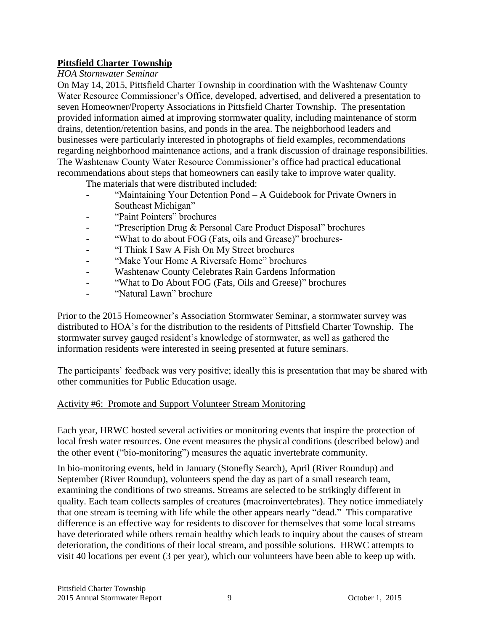## **Pittsfield Charter Township**

### *HOA Stormwater Seminar*

On May 14, 2015, Pittsfield Charter Township in coordination with the Washtenaw County Water Resource Commissioner's Office, developed, advertised, and delivered a presentation to seven Homeowner/Property Associations in Pittsfield Charter Township. The presentation provided information aimed at improving stormwater quality, including maintenance of storm drains, detention/retention basins, and ponds in the area. The neighborhood leaders and businesses were particularly interested in photographs of field examples, recommendations regarding neighborhood maintenance actions, and a frank discussion of drainage responsibilities. The Washtenaw County Water Resource Commissioner's office had practical educational recommendations about steps that homeowners can easily take to improve water quality.

The materials that were distributed included:

- "Maintaining Your Detention Pond A Guidebook for Private Owners in Southeast Michigan"
- "Paint Pointers" brochures
- "Prescription Drug & Personal Care Product Disposal" brochures
- "What to do about FOG (Fats, oils and Grease)" brochures-
- "I Think I Saw A Fish On My Street brochures
- "Make Your Home A Riversafe Home" brochures
- Washtenaw County Celebrates Rain Gardens Information
- "What to Do About FOG (Fats, Oils and Greese)" brochures
- "Natural Lawn" brochure

Prior to the 2015 Homeowner's Association Stormwater Seminar, a stormwater survey was distributed to HOA's for the distribution to the residents of Pittsfield Charter Township. The stormwater survey gauged resident's knowledge of stormwater, as well as gathered the information residents were interested in seeing presented at future seminars.

The participants' feedback was very positive; ideally this is presentation that may be shared with other communities for Public Education usage.

### Activity #6: Promote and Support Volunteer Stream Monitoring

Each year, HRWC hosted several activities or monitoring events that inspire the protection of local fresh water resources. One event measures the physical conditions (described below) and the other event ("bio-monitoring") measures the aquatic invertebrate community.

In bio-monitoring events, held in January (Stonefly Search), April (River Roundup) and September (River Roundup), volunteers spend the day as part of a small research team, examining the conditions of two streams. Streams are selected to be strikingly different in quality. Each team collects samples of creatures (macroinvertebrates). They notice immediately that one stream is teeming with life while the other appears nearly "dead." This comparative difference is an effective way for residents to discover for themselves that some local streams have deteriorated while others remain healthy which leads to inquiry about the causes of stream deterioration, the conditions of their local stream, and possible solutions. HRWC attempts to visit 40 locations per event (3 per year), which our volunteers have been able to keep up with.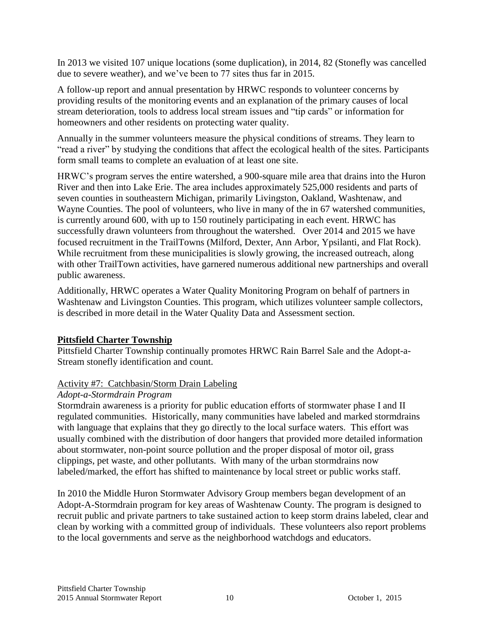In 2013 we visited 107 unique locations (some duplication), in 2014, 82 (Stonefly was cancelled due to severe weather), and we've been to 77 sites thus far in 2015.

A follow-up report and annual presentation by HRWC responds to volunteer concerns by providing results of the monitoring events and an explanation of the primary causes of local stream deterioration, tools to address local stream issues and "tip cards" or information for homeowners and other residents on protecting water quality.

Annually in the summer volunteers measure the physical conditions of streams. They learn to "read a river" by studying the conditions that affect the ecological health of the sites. Participants form small teams to complete an evaluation of at least one site.

HRWC's program serves the entire watershed, a 900-square mile area that drains into the Huron River and then into Lake Erie. The area includes approximately 525,000 residents and parts of seven counties in southeastern Michigan, primarily Livingston, Oakland, Washtenaw, and Wayne Counties. The pool of volunteers, who live in many of the in 67 watershed communities, is currently around 600, with up to 150 routinely participating in each event. HRWC has successfully drawn volunteers from throughout the watershed. Over 2014 and 2015 we have focused recruitment in the TrailTowns (Milford, Dexter, Ann Arbor, Ypsilanti, and Flat Rock). While recruitment from these municipalities is slowly growing, the increased outreach, along with other TrailTown activities, have garnered numerous additional new partnerships and overall public awareness.

Additionally, HRWC operates a Water Quality Monitoring Program on behalf of partners in Washtenaw and Livingston Counties. This program, which utilizes volunteer sample collectors, is described in more detail in the Water Quality Data and Assessment section.

### **Pittsfield Charter Township**

Pittsfield Charter Township continually promotes HRWC Rain Barrel Sale and the Adopt-a-Stream stonefly identification and count.

### Activity #7: Catchbasin/Storm Drain Labeling

### *Adopt-a-Stormdrain Program*

Stormdrain awareness is a priority for public education efforts of stormwater phase I and II regulated communities. Historically, many communities have labeled and marked stormdrains with language that explains that they go directly to the local surface waters. This effort was usually combined with the distribution of door hangers that provided more detailed information about stormwater, non-point source pollution and the proper disposal of motor oil, grass clippings, pet waste, and other pollutants. With many of the urban stormdrains now labeled/marked, the effort has shifted to maintenance by local street or public works staff.

In 2010 the Middle Huron Stormwater Advisory Group members began development of an Adopt-A-Stormdrain program for key areas of Washtenaw County. The program is designed to recruit public and private partners to take sustained action to keep storm drains labeled, clear and clean by working with a committed group of individuals. These volunteers also report problems to the local governments and serve as the neighborhood watchdogs and educators.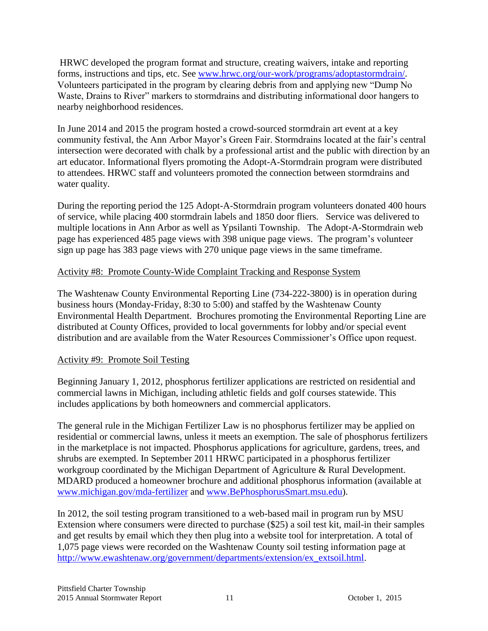HRWC developed the program format and structure, creating waivers, intake and reporting forms, instructions and tips, etc. See [www.hrwc.org/our-work/programs/adoptastormdrain/.](http://www.hrwc.org/our-work/programs/adoptastormdrain/) Volunteers participated in the program by clearing debris from and applying new "Dump No Waste, Drains to River" markers to stormdrains and distributing informational door hangers to nearby neighborhood residences.

In June 2014 and 2015 the program hosted a crowd-sourced stormdrain art event at a key community festival, the Ann Arbor Mayor's Green Fair. Stormdrains located at the fair's central intersection were decorated with chalk by a professional artist and the public with direction by an art educator. Informational flyers promoting the Adopt-A-Stormdrain program were distributed to attendees. HRWC staff and volunteers promoted the connection between stormdrains and water quality.

During the reporting period the 125 Adopt-A-Stormdrain program volunteers donated 400 hours of service, while placing 400 stormdrain labels and 1850 door fliers. Service was delivered to multiple locations in Ann Arbor as well as Ypsilanti Township. The Adopt-A-Stormdrain web page has experienced 485 page views with 398 unique page views. The program's volunteer sign up page has 383 page views with 270 unique page views in the same timeframe.

## Activity #8: Promote County-Wide Complaint Tracking and Response System

The Washtenaw County Environmental Reporting Line (734-222-3800) is in operation during business hours (Monday-Friday, 8:30 to 5:00) and staffed by the Washtenaw County Environmental Health Department. Brochures promoting the Environmental Reporting Line are distributed at County Offices, provided to local governments for lobby and/or special event distribution and are available from the Water Resources Commissioner's Office upon request.

### Activity #9: Promote Soil Testing

Beginning January 1, 2012, phosphorus fertilizer applications are restricted on residential and commercial lawns in Michigan, including athletic fields and golf courses statewide. This includes applications by both homeowners and commercial applicators.

The general rule in the Michigan Fertilizer Law is no phosphorus fertilizer may be applied on residential or commercial lawns, unless it meets an exemption. The sale of phosphorus fertilizers in the marketplace is not impacted. Phosphorus applications for agriculture, gardens, trees, and shrubs are exempted. In September 2011 HRWC participated in a phosphorus fertilizer workgroup coordinated by the Michigan Department of Agriculture & Rural Development. MDARD produced a homeowner brochure and additional phosphorus information (available at [www.michigan.gov/mda-fertilizer](http://www.michigan.gov/mda-fertilizer) and [www.BePhosphorusSmart.msu.edu\)](http://www.bephosphorussmart.msu.edu/).

In 2012, the soil testing program transitioned to a web-based mail in program run by MSU Extension where consumers were directed to purchase (\$25) a soil test kit, mail-in their samples and get results by email which they then plug into a website tool for interpretation. A total of 1,075 page views were recorded on the Washtenaw County soil testing information page at [http://www.ewashtenaw.org/government/departments/extension/ex\\_extsoil.html.](http://www.ewashtenaw.org/government/departments/extension/ex_extsoil.html)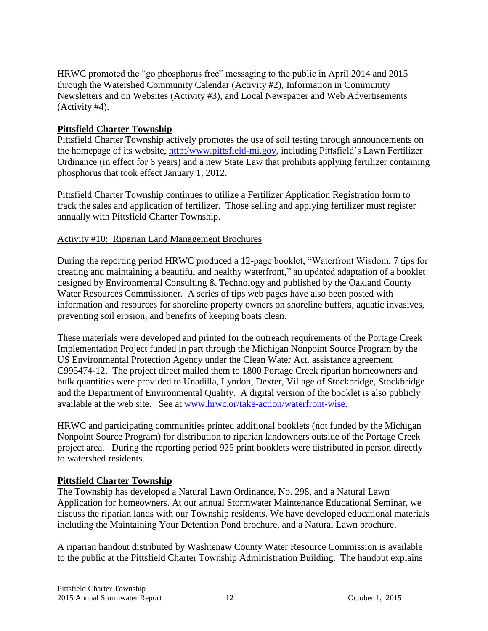HRWC promoted the "go phosphorus free" messaging to the public in April 2014 and 2015 through the Watershed Community Calendar (Activity #2), Information in Community Newsletters and on Websites (Activity #3), and Local Newspaper and Web Advertisements (Activity #4).

### **Pittsfield Charter Township**

Pittsfield Charter Township actively promotes the use of soil testing through announcements on the homepage of its website, [http:/www.pittsfield-mi.gov,](http://www.pittsfield-mi.gov/) including Pittsfield's Lawn Fertilizer Ordinance (in effect for 6 years) and a new State Law that prohibits applying fertilizer containing phosphorus that took effect January 1, 2012.

Pittsfield Charter Township continues to utilize a Fertilizer Application Registration form to track the sales and application of fertilizer. Those selling and applying fertilizer must register annually with Pittsfield Charter Township.

### Activity #10: Riparian Land Management Brochures

During the reporting period HRWC produced a 12-page booklet, "Waterfront Wisdom, 7 tips for creating and maintaining a beautiful and healthy waterfront," an updated adaptation of a booklet designed by Environmental Consulting & Technology and published by the Oakland County Water Resources Commissioner. A series of tips web pages have also been posted with information and resources for shoreline property owners on shoreline buffers, aquatic invasives, preventing soil erosion, and benefits of keeping boats clean.

These materials were developed and printed for the outreach requirements of the Portage Creek Implementation Project funded in part through the Michigan Nonpoint Source Program by the US Environmental Protection Agency under the Clean Water Act, assistance agreement C995474-12. The project direct mailed them to 1800 Portage Creek riparian homeowners and bulk quantities were provided to Unadilla, Lyndon, Dexter, Village of Stockbridge, Stockbridge and the Department of Environmental Quality. A digital version of the booklet is also publicly available at the web site. See at [www.hrwc.or/take-action/waterfront-wise.](http://www.hrwc.or/take-action/waterfront-wise)

HRWC and participating communities printed additional booklets (not funded by the Michigan Nonpoint Source Program) for distribution to riparian landowners outside of the Portage Creek project area. During the reporting period 925 print booklets were distributed in person directly to watershed residents.

### **Pittsfield Charter Township**

The Township has developed a Natural Lawn Ordinance, No. 298, and a Natural Lawn Application for homeowners. At our annual Stormwater Maintenance Educational Seminar, we discuss the riparian lands with our Township residents. We have developed educational materials including the Maintaining Your Detention Pond brochure, and a Natural Lawn brochure.

A riparian handout distributed by Washtenaw County Water Resource Commission is available to the public at the Pittsfield Charter Township Administration Building. The handout explains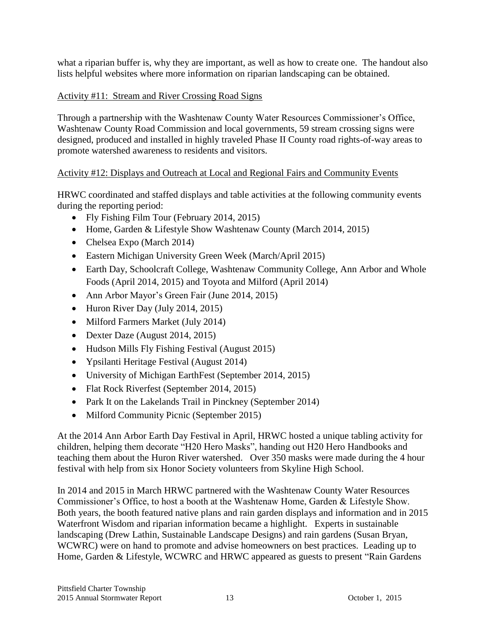what a riparian buffer is, why they are important, as well as how to create one. The handout also lists helpful websites where more information on riparian landscaping can be obtained.

## Activity #11: Stream and River Crossing Road Signs

Through a partnership with the Washtenaw County Water Resources Commissioner's Office, Washtenaw County Road Commission and local governments, 59 stream crossing signs were designed, produced and installed in highly traveled Phase II County road rights-of-way areas to promote watershed awareness to residents and visitors.

## Activity #12: Displays and Outreach at Local and Regional Fairs and Community Events

HRWC coordinated and staffed displays and table activities at the following community events during the reporting period:

- Fly Fishing Film Tour (February 2014, 2015)
- Home, Garden & Lifestyle Show Washtenaw County (March 2014, 2015)
- Chelsea Expo (March 2014)
- Eastern Michigan University Green Week (March/April 2015)
- Earth Day, Schoolcraft College, Washtenaw Community College, Ann Arbor and Whole Foods (April 2014, 2015) and Toyota and Milford (April 2014)
- Ann Arbor Mayor's Green Fair (June 2014, 2015)
- $\bullet$  Huron River Day (July 2014, 2015)
- Milford Farmers Market (July 2014)
- Dexter Daze (August 2014, 2015)
- Hudson Mills Fly Fishing Festival (August 2015)
- Ypsilanti Heritage Festival (August 2014)
- University of Michigan EarthFest (September 2014, 2015)
- Flat Rock Riverfest (September 2014, 2015)
- Park It on the Lakelands Trail in Pinckney (September 2014)
- Milford Community Picnic (September 2015)

[At](http://at/) the 2014 Ann Arbor Earth Day Festival in April, HRWC hosted a unique tabling activity for children, helping them decorate "H20 Hero Masks", handing out H20 Hero Handbooks and teaching them about the Huron River watershed. Over 350 masks were made during the 4 hour festival with help from six Honor Society volunteers from Skyline High School.

In 2014 and 2015 in March HRWC partnered with the Washtenaw County Water Resources Commissioner's Office, to host a booth at the Washtenaw Home, Garden & Lifestyle Show. Both years, the booth featured native plans and rain garden displays and information and in 2015 Waterfront Wisdom and riparian information became a highlight. Experts in sustainable landscaping (Drew Lathin, Sustainable Landscape Designs) and rain gardens (Susan Bryan, WCWRC) were on hand to promote and advise homeowners on best practices. Leading up to Home, Garden & Lifestyle, WCWRC and HRWC appeared as guests to present "Rain Gardens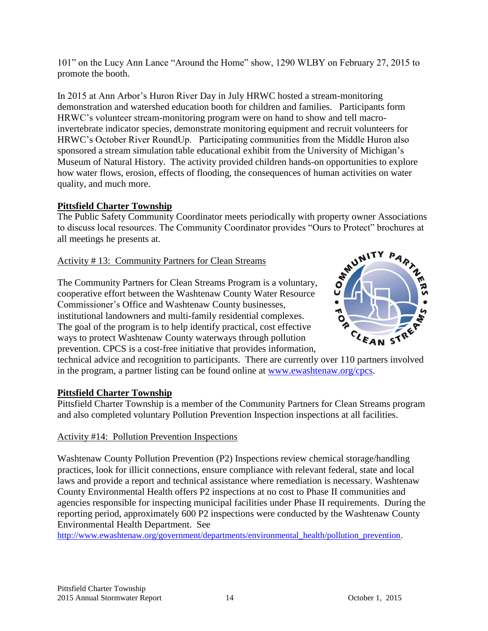101" on the Lucy Ann Lance "Around the Home" show, 1290 WLBY on February 27, 2015 to promote the booth.

In 2015 at Ann Arbor's Huron River Day in July HRWC hosted a stream-monitoring demonstration and watershed education booth for children and families. Participants form HRWC's volunteer stream-monitoring program were on hand to show and tell macroinvertebrate indicator species, demonstrate monitoring equipment and recruit volunteers for HRWC's October River RoundUp. Participating communities from the Middle Huron also sponsored a stream simulation table educational exhibit from the University of Michigan's Museum of Natural History. The activity provided children hands-on opportunities to explore how water flows, erosion, effects of flooding, the consequences of human activities on water quality, and much more.

## **Pittsfield Charter Township**

The Public Safety Community Coordinator meets periodically with property owner Associations to discuss local resources. The Community Coordinator provides "Ours to Protect" brochures at<br>all meetings he presents at.<br>Activity #13: Community Partners for Clean Streams<br>The Community Partners for Clean Streams Progra all meetings he presents at.

Activity # 13: Community Partners for Clean Streams

The Community Partners for Clean Streams Program is a voluntary, cooperative effort between the Washtenaw County Water Resource Commissioner's Office and Washtenaw County businesses, institutional landowners and multi-family residential complexes. The goal of the program is to help identify practical, cost effective ways to protect Washtenaw County waterways through pollution prevention. CPCS is a cost-free initiative that provides information,



technical advice and recognition to participants. There are currently over 110 partners involved in the program, a partner listing can be found online at [www.ewashtenaw.org/cpcs.](http://www.ewashtenaw.org/cpcs)

## **Pittsfield Charter Township**

Pittsfield Charter Township is a member of the Community Partners for Clean Streams program and also completed voluntary Pollution Prevention Inspection inspections at all facilities.

## Activity #14: Pollution Prevention Inspections

Washtenaw County Pollution Prevention (P2) Inspections review chemical storage/handling practices, look for illicit connections, ensure compliance with relevant federal, state and local laws and provide a report and technical assistance where remediation is necessary. Washtenaw County Environmental Health offers P2 inspections at no cost to Phase II communities and agencies responsible for inspecting municipal facilities under Phase II requirements. During the reporting period, approximately 600 P2 inspections were conducted by the Washtenaw County Environmental Health Department. See

[http://www.ewashtenaw.org/government/departments/environmental\\_health/pollution\\_prevention.](http://www.ewashtenaw.org/government/departments/environmental_health/pollution_prevention)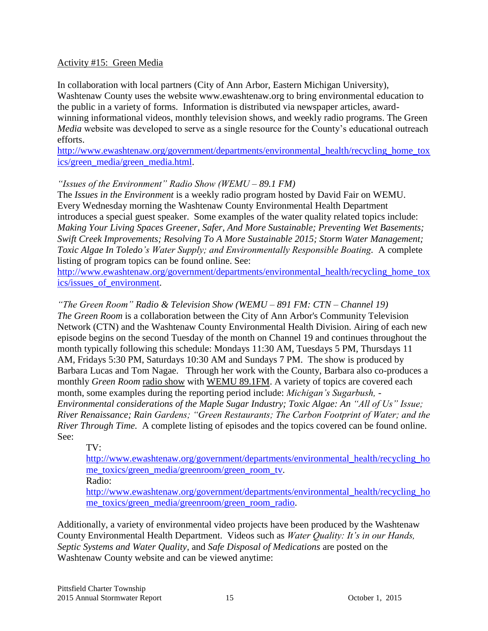#### Activity #15: Green Media

In collaboration with local partners (City of Ann Arbor, Eastern Michigan University), Washtenaw County uses the website www.ewashtenaw.org to bring environmental education to the public in a variety of forms. Information is distributed via newspaper articles, awardwinning informational videos, monthly television shows, and weekly radio programs. The Green *Media* website was developed to serve as a single resource for the County's educational outreach efforts.

[http://www.ewashtenaw.org/government/departments/environmental\\_health/recycling\\_home\\_tox](http://www.ewashtenaw.org/government/departments/environmental_health/recycling_home_toxics/green_media/green_media.html) [ics/green\\_media/green\\_media.html.](http://www.ewashtenaw.org/government/departments/environmental_health/recycling_home_toxics/green_media/green_media.html)

#### *"Issues of the Environment" Radio Show (WEMU – 89.1 FM)*

The *Issues in the Environment* is a weekly radio program hosted by David Fair on WEMU. Every Wednesday morning the Washtenaw County Environmental Health Department introduces a special guest speaker. Some examples of the water quality related topics include: *Making Your Living Spaces Greener, Safer, And More Sustainable; Preventing Wet Basements; Swift Creek Improvements; Resolving To A More Sustainable 2015; Storm Water Management; Toxic Algae In Toledo's Water Supply; and Environmentally Responsible Boating.* A complete listing of program topics can be found online. See:

[http://www.ewashtenaw.org/government/departments/environmental\\_health/recycling\\_home\\_tox](http://www.ewashtenaw.org/government/departments/environmental_health/recycling_home_toxics/issues_of_environment) [ics/issues\\_of\\_environment.](http://www.ewashtenaw.org/government/departments/environmental_health/recycling_home_toxics/issues_of_environment)

*"The Green Room" Radio & Television Show (WEMU – 891 FM: CTN – Channel 19) The Green Room* is a collaboration between the City of Ann Arbor's Community Television Network (CTN) and the Washtenaw County Environmental Health Division. Airing of each new episode begins on the second Tuesday of the month on Channel 19 and continues throughout the month typically following this schedule: Mondays 11:30 AM, Tuesdays 5 PM, Thursdays 11 AM, Fridays 5:30 PM, Saturdays 10:30 AM and Sundays 7 PM. The show is produced by Barbara Lucas and Tom Nagae. Through her work with the County, Barbara also co-produces a monthly *Green Room* radio show with WEMU 89.1FM. A variety of topics are covered each month, some examples during the reporting period include: *Michigan's Sugarbush, - Environmental considerations of the Maple Sugar Industry; Toxic Algae: An "All of Us" Issue; River Renaissance; Rain Gardens; "Green Restaurants; The Carbon Footprint of Water; and the River Through Time.* A complete listing of episodes and the topics covered can be found online. See:

TV:

[http://www.ewashtenaw.org/government/departments/environmental\\_health/recycling\\_ho](http://www.ewashtenaw.org/government/departments/environmental_health/recycling_home_toxics/green_media/greenroom/green_room_tv) [me\\_toxics/green\\_media/greenroom/green\\_room\\_tv.](http://www.ewashtenaw.org/government/departments/environmental_health/recycling_home_toxics/green_media/greenroom/green_room_tv)

Radio:

[http://www.ewashtenaw.org/government/departments/environmental\\_health/recycling\\_ho](http://www.ewashtenaw.org/government/departments/environmental_health/recycling_home_toxics/green_media/greenroom/green_room_radio) [me\\_toxics/green\\_media/greenroom/green\\_room\\_radio.](http://www.ewashtenaw.org/government/departments/environmental_health/recycling_home_toxics/green_media/greenroom/green_room_radio)

Additionally, a variety of environmental video projects have been produced by the Washtenaw County Environmental Health Department. Videos such as *Water Quality: It's in our Hands, Septic Systems and Water Quality,* and *Safe Disposal of Medications* are posted on the Washtenaw County website and can be viewed anytime: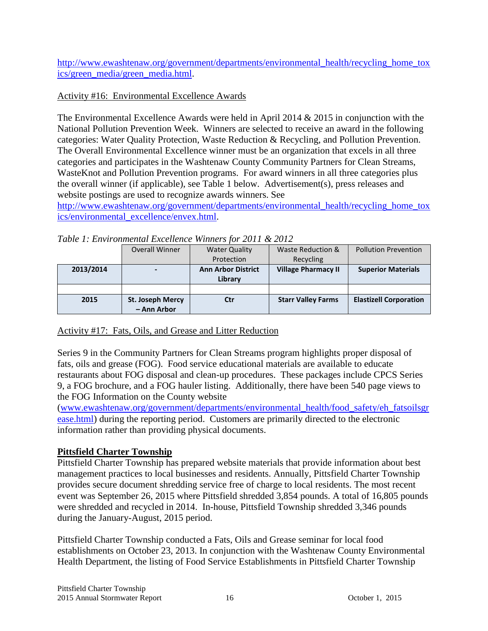[http://www.ewashtenaw.org/government/departments/environmental\\_health/recycling\\_home\\_tox](http://www.ewashtenaw.org/government/departments/environmental_health/recycling_home_toxics/green_media/green_media.html) [ics/green\\_media/green\\_media.html.](http://www.ewashtenaw.org/government/departments/environmental_health/recycling_home_toxics/green_media/green_media.html)

## Activity #16: Environmental Excellence Awards

The Environmental Excellence Awards were held in April 2014 & 2015 in conjunction with the National Pollution Prevention Week. Winners are selected to receive an award in the following categories: Water Quality Protection, Waste Reduction & Recycling, and Pollution Prevention. The Overall Environmental Excellence winner must be an organization that excels in all three categories and participates in the Washtenaw County Community Partners for Clean Streams, WasteKnot and Pollution Prevention programs. For award winners in all three categories plus the overall winner (if applicable), see Table 1 below. Advertisement(s), press releases and website postings are used to recognize awards winners. See

[http://www.ewashtenaw.org/government/departments/environmental\\_health/recycling\\_home\\_tox](http://www.ewashtenaw.org/government/departments/environmental_health/recycling_home_toxics/environmental_excellence/envex.html) [ics/environmental\\_excellence/envex.html.](http://www.ewashtenaw.org/government/departments/environmental_health/recycling_home_toxics/environmental_excellence/envex.html)

*Table 1: Environmental Excellence Winners for 2011 & 2012*

|           | <b>Overall Winner</b>   | <b>Water Quality</b>      | Waste Reduction &          | <b>Pollution Prevention</b>   |
|-----------|-------------------------|---------------------------|----------------------------|-------------------------------|
|           |                         | Protection                | Recycling                  |                               |
| 2013/2014 |                         | <b>Ann Arbor District</b> | <b>Village Pharmacy II</b> | <b>Superior Materials</b>     |
|           |                         | Library                   |                            |                               |
|           |                         |                           |                            |                               |
| 2015      | <b>St. Joseph Mercy</b> | Ctr                       | <b>Starr Valley Farms</b>  | <b>Elastizell Corporation</b> |
|           | - Ann Arbor             |                           |                            |                               |

## Activity #17: Fats, Oils, and Grease and Litter Reduction

Series 9 in the Community Partners for Clean Streams program highlights proper disposal of fats, oils and grease (FOG). Food service educational materials are available to educate restaurants about FOG disposal and clean-up procedures. These packages include CPCS Series 9, a FOG brochure, and a FOG hauler listing. Additionally, there have been 540 page views to the FOG Information on the County website

[\(www.ewashtenaw.org/government/departments/environmental\\_health/food\\_safety/eh\\_fatsoilsgr](http://www.ewashtenaw.org/government/departments/environmental_health/food_safety/eh_fatsoilsgrease.html) [ease.html\)](http://www.ewashtenaw.org/government/departments/environmental_health/food_safety/eh_fatsoilsgrease.html) during the reporting period. Customers are primarily directed to the electronic information rather than providing physical documents.

## **Pittsfield Charter Township**

Pittsfield Charter Township has prepared website materials that provide information about best management practices to local businesses and residents. Annually, Pittsfield Charter Township provides secure document shredding service free of charge to local residents. The most recent event was September 26, 2015 where Pittsfield shredded 3,854 pounds. A total of 16,805 pounds were shredded and recycled in 2014. In-house, Pittsfield Township shredded 3,346 pounds during the January-August, 2015 period.

Pittsfield Charter Township conducted a Fats, Oils and Grease seminar for local food establishments on October 23, 2013. In conjunction with the Washtenaw County Environmental Health Department, the listing of Food Service Establishments in Pittsfield Charter Township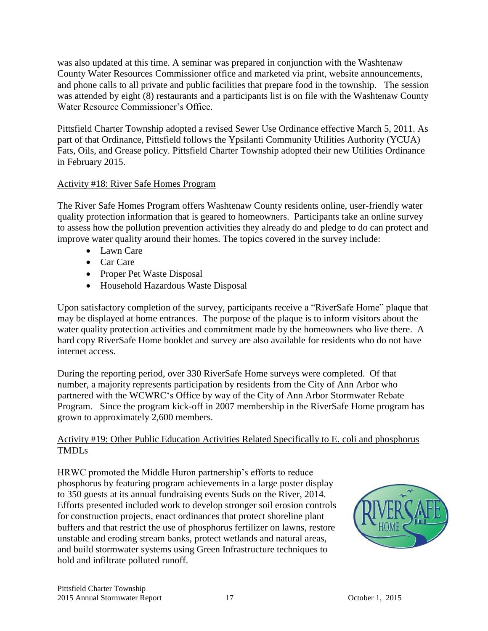was also updated at this time. A seminar was prepared in conjunction with the Washtenaw County Water Resources Commissioner office and marketed via print, website announcements, and phone calls to all private and public facilities that prepare food in the township. The session was attended by eight (8) restaurants and a participants list is on file with the Washtenaw County Water Resource Commissioner's Office.

Pittsfield Charter Township adopted a revised Sewer Use Ordinance effective March 5, 2011. As part of that Ordinance, Pittsfield follows the Ypsilanti Community Utilities Authority (YCUA) Fats, Oils, and Grease policy. Pittsfield Charter Township adopted their new Utilities Ordinance in February 2015.

## Activity #18: River Safe Homes Program

The River Safe Homes Program offers Washtenaw County residents online, user-friendly water quality protection information that is geared to homeowners. Participants take an online survey to assess how the pollution prevention activities they already do and pledge to do can protect and improve water quality around their homes. The topics covered in the survey include:

- Lawn Care
- Car Care
- Proper Pet Waste Disposal
- Household Hazardous Waste Disposal

Upon satisfactory completion of the survey, participants receive a "RiverSafe Home" plaque that may be displayed at home entrances. The purpose of the plaque is to inform visitors about the water quality protection activities and commitment made by the homeowners who live there. A hard copy RiverSafe Home booklet and survey are also available for residents who do not have internet access.

During the reporting period, over 330 RiverSafe Home surveys were completed. Of that number, a majority represents participation by residents from the City of Ann Arbor who partnered with the WCWRC's Office by way of the City of Ann Arbor Stormwater Rebate Program. Since the program kick-off in 2007 membership in the RiverSafe Home program has grown to approximately 2,600 members.

## Activity #19: Other Public Education Activities Related Specifically to E. coli and phosphorus TMDLs

HRWC promoted the Middle Huron partnership's efforts to reduce phosphorus by featuring program achievements in a large poster display to 350 guests at its annual fundraising events Suds on the River, 2014. Efforts presented included work to develop stronger soil erosion controls for construction projects, enact ordinances that protect shoreline plant buffers and that restrict the use of phosphorus fertilizer on lawns, restore unstable and eroding stream banks, protect wetlands and natural areas, and build stormwater systems using Green Infrastructure techniques to hold and infiltrate polluted runoff.

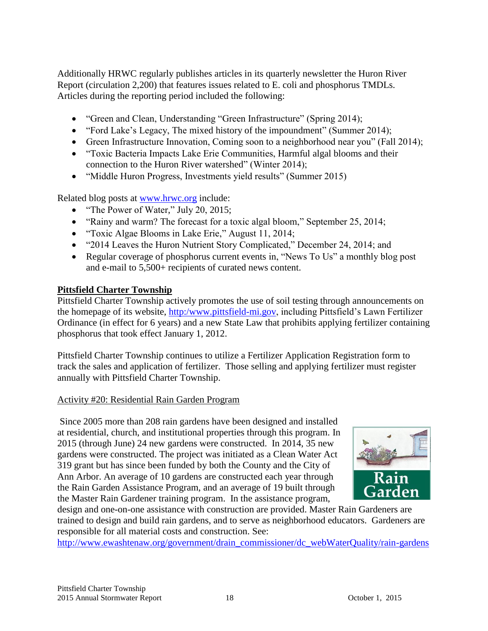Additionally HRWC regularly publishes articles in its quarterly newsletter the Huron River Report (circulation 2,200) that features issues related to E. coli and phosphorus TMDLs. Articles during the reporting period included the following:

- "Green and Clean, Understanding "Green Infrastructure" (Spring 2014);
- "Ford Lake's Legacy, The mixed history of the impoundment" (Summer 2014);
- Green Infrastructure Innovation, Coming soon to a neighborhood near you" (Fall 2014);
- "Toxic Bacteria Impacts Lake Erie Communities, Harmful algal blooms and their connection to the Huron River watershed" (Winter 2014);
- "Middle Huron Progress, Investments yield results" (Summer 2015)

Related blog posts at [www.hrwc.org](http://www.hrwc.org/) include:

- "The Power of Water," July 20, 2015;
- "Rainy and warm? The forecast for a toxic algal bloom," September 25, 2014;
- "Toxic Algae Blooms in Lake Erie," August 11, 2014;
- "2014 Leaves the Huron Nutrient Story Complicated," December 24, 2014; and
- Regular coverage of phosphorus current events in, "News To Us" a monthly blog post and e-mail to 5,500+ recipients of curated news content.

### **Pittsfield Charter Township**

Pittsfield Charter Township actively promotes the use of soil testing through announcements on the homepage of its website, [http:/www.pittsfield-mi.gov,](http://www.pittsfield-mi.gov/) including Pittsfield's Lawn Fertilizer Ordinance (in effect for 6 years) and a new State Law that prohibits applying fertilizer containing phosphorus that took effect January 1, 2012.

Pittsfield Charter Township continues to utilize a Fertilizer Application Registration form to track the sales and application of fertilizer. Those selling and applying fertilizer must register annually with Pittsfield Charter Township.

#### Activity #20: Residential Rain Garden Program

Since 2005 more than 208 rain gardens have been designed and installed at residential, church, and institutional properties through this program. In 2015 (through June) 24 new gardens were constructed. In 2014, 35 new gardens were constructed. The project was initiated as a Clean Water Act 319 grant but has since been funded by both the County and the City of Ann Arbor. An average of 10 gardens are constructed each year through the Rain Garden Assistance Program, and an average of 19 built through the Master Rain Gardener training program. In the assistance program,



design and one-on-one assistance with construction are provided. Master Rain Gardeners are trained to design and build rain gardens, and to serve as neighborhood educators. Gardeners are responsible for all material costs and construction. See:

[http://www.ewashtenaw.org/government/drain\\_commissioner/dc\\_webWaterQuality/rain-gardens](http://www.ewashtenaw.org/government/drain_commissioner/dc_webWaterQuality/rain-gardens)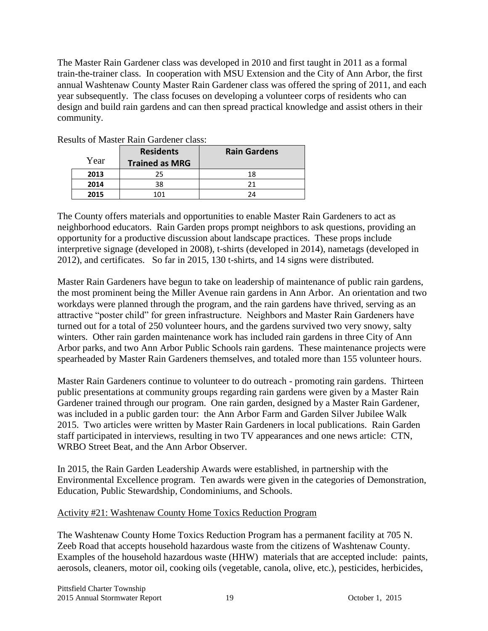The Master Rain Gardener class was developed in 2010 and first taught in 2011 as a formal train-the-trainer class. In cooperation with MSU Extension and the City of Ann Arbor, the first annual Washtenaw County Master Rain Gardener class was offered the spring of 2011, and each year subsequently. The class focuses on developing a volunteer corps of residents who can design and build rain gardens and can then spread practical knowledge and assist others in their community.

| Year | <b>Residents</b><br><b>Trained as MRG</b> | <b>Rain Gardens</b> |
|------|-------------------------------------------|---------------------|
| 2013 | 25                                        | 18                  |
| 2014 | 38                                        | 21                  |
| 2015 | 101                                       | 24                  |

Results of Master Rain Gardener class:

The County offers materials and opportunities to enable Master Rain Gardeners to act as neighborhood educators. Rain Garden props prompt neighbors to ask questions, providing an opportunity for a productive discussion about landscape practices. These props include interpretive signage (developed in 2008), t-shirts (developed in 2014), nametags (developed in 2012), and certificates. So far in 2015, 130 t-shirts, and 14 signs were distributed.

Master Rain Gardeners have begun to take on leadership of maintenance of public rain gardens, the most prominent being the Miller Avenue rain gardens in Ann Arbor. An orientation and two workdays were planned through the program, and the rain gardens have thrived, serving as an attractive "poster child" for green infrastructure. Neighbors and Master Rain Gardeners have turned out for a total of 250 volunteer hours, and the gardens survived two very snowy, salty winters. Other rain garden maintenance work has included rain gardens in three City of Ann Arbor parks, and two Ann Arbor Public Schools rain gardens. These maintenance projects were spearheaded by Master Rain Gardeners themselves, and totaled more than 155 volunteer hours.

Master Rain Gardeners continue to volunteer to do outreach - promoting rain gardens. Thirteen public presentations at community groups regarding rain gardens were given by a Master Rain Gardener trained through our program. One rain garden, designed by a Master Rain Gardener, was included in a public garden tour: the Ann Arbor Farm and Garden Silver Jubilee Walk 2015. Two articles were written by Master Rain Gardeners in local publications. Rain Garden staff participated in interviews, resulting in two TV appearances and one news article: CTN, WRBO Street Beat, and the Ann Arbor Observer.

In 2015, the Rain Garden Leadership Awards were established, in partnership with the Environmental Excellence program. Ten awards were given in the categories of Demonstration, Education, Public Stewardship, Condominiums, and Schools.

### Activity #21: Washtenaw County Home Toxics Reduction Program

The Washtenaw County Home Toxics Reduction Program has a permanent facility at 705 N. Zeeb Road that accepts household hazardous waste from the citizens of Washtenaw County. Examples of the household hazardous waste (HHW) materials that are accepted include: paints, aerosols, cleaners, motor oil, cooking oils (vegetable, canola, olive, etc.), pesticides, herbicides,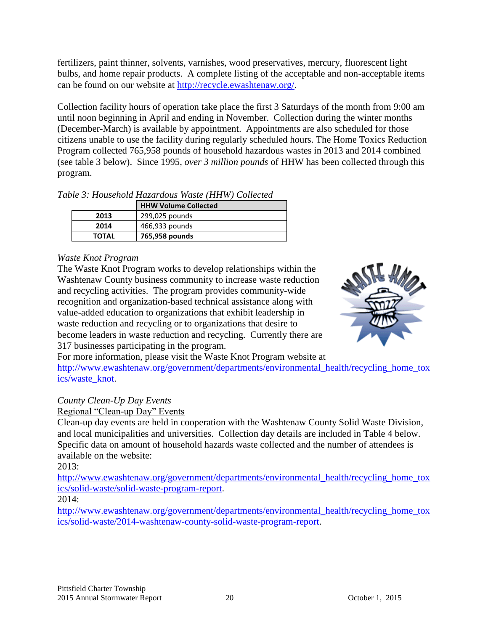fertilizers, paint thinner, solvents, varnishes, wood preservatives, mercury, fluorescent light bulbs, and home repair products. A complete listing of the acceptable and non-acceptable items can be found on our website at [http://recycle.ewashtenaw.org/.](http://recycle.ewashtenaw.org/)

Collection facility hours of operation take place the first 3 Saturdays of the month from 9:00 am until noon beginning in April and ending in November. Collection during the winter months (December-March) is available by appointment. Appointments are also scheduled for those citizens unable to use the facility during regularly scheduled hours. The Home Toxics Reduction Program collected 765,958 pounds of household hazardous wastes in 2013 and 2014 combined (see table 3 below). Since 1995, *over 3 million pounds* of HHW has been collected through this program.

*Table 3: Household Hazardous Waste (HHW) Collected* 

|              | <b>HHW Volume Collected</b> |
|--------------|-----------------------------|
| 2013         | 299,025 pounds              |
| 2014         | 466,933 pounds              |
| <b>TOTAL</b> | 765,958 pounds              |

### *Waste Knot Program*

The Waste Knot Program works to develop relationships within the Washtenaw County business community to increase waste reduction and recycling activities. The program provides community-wide recognition and organization-based technical assistance along with value-added education to organizations that exhibit leadership in waste reduction and recycling or to organizations that desire to become leaders in waste reduction and recycling. Currently there are 317 businesses participating in the program.



For more information, please visit the Waste Knot Program website at [http://www.ewashtenaw.org/government/departments/environmental\\_health/recycling\\_home\\_tox](http://www.ewashtenaw.org/government/departments/environmental_health/recycling_home_toxics/waste_knot) [ics/waste\\_knot.](http://www.ewashtenaw.org/government/departments/environmental_health/recycling_home_toxics/waste_knot)

### *County Clean-Up Day Events*

Regional "Clean-up Day" Events

Clean-up day events are held in cooperation with the Washtenaw County Solid Waste Division, and local municipalities and universities. Collection day details are included in Table 4 below. Specific data on amount of household hazards waste collected and the number of attendees is available on the website:

2013:

[http://www.ewashtenaw.org/government/departments/environmental\\_health/recycling\\_home\\_tox](http://www.ewashtenaw.org/government/departments/environmental_health/recycling_home_toxics/solid-waste/solid-waste-program-report) [ics/solid-waste/solid-waste-program-report.](http://www.ewashtenaw.org/government/departments/environmental_health/recycling_home_toxics/solid-waste/solid-waste-program-report)

### 2014:

[http://www.ewashtenaw.org/government/departments/environmental\\_health/recycling\\_home\\_tox](http://www.ewashtenaw.org/government/departments/environmental_health/recycling_home_toxics/solid-waste/2014-washtenaw-county-solid-waste-program-report) [ics/solid-waste/2014-washtenaw-county-solid-waste-program-report.](http://www.ewashtenaw.org/government/departments/environmental_health/recycling_home_toxics/solid-waste/2014-washtenaw-county-solid-waste-program-report)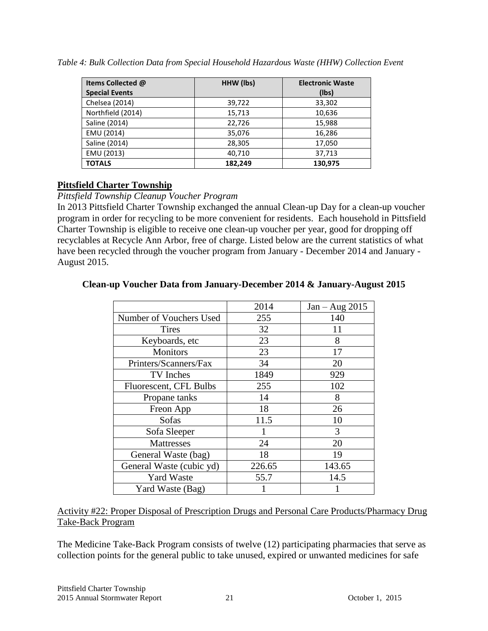| Items Collected @     | HHW (lbs) | <b>Electronic Waste</b> |  |
|-----------------------|-----------|-------------------------|--|
| <b>Special Events</b> |           | (lbs)                   |  |
| Chelsea (2014)        | 39,722    | 33,302                  |  |
| Northfield (2014)     | 15,713    | 10,636                  |  |
| Saline (2014)         | 22,726    | 15,988                  |  |
| EMU (2014)            | 35,076    | 16,286                  |  |
| Saline (2014)         | 28,305    | 17,050                  |  |
| EMU (2013)            | 40,710    | 37,713                  |  |
| <b>TOTALS</b>         | 182,249   | 130,975                 |  |

*Table 4: Bulk Collection Data from Special Household Hazardous Waste (HHW) Collection Event*

### **Pittsfield Charter Township**

#### *Pittsfield Township Cleanup Voucher Program*

In 2013 Pittsfield Charter Township exchanged the annual Clean-up Day for a clean-up voucher program in order for recycling to be more convenient for residents. Each household in Pittsfield Charter Township is eligible to receive one clean-up voucher per year, good for dropping off recyclables at Recycle Ann Arbor, free of charge. Listed below are the current statistics of what have been recycled through the voucher program from January - December 2014 and January - August 2015.

## **Clean-up Voucher Data from January-December 2014 & January-August 2015**

|                          | 2014   | $Jan - Aug 2015$ |
|--------------------------|--------|------------------|
| Number of Vouchers Used  | 255    | 140              |
| <b>Tires</b>             | 32     | 11               |
| Keyboards, etc           | 23     | 8                |
| <b>Monitors</b>          | 23     | 17               |
| Printers/Scanners/Fax    | 34     | 20               |
| TV Inches                | 1849   | 929              |
| Fluorescent, CFL Bulbs   | 255    | 102              |
| Propane tanks            | 14     | 8                |
| Freon App                | 18     | 26               |
| Sofas                    | 11.5   | 10               |
| Sofa Sleeper             |        | 3                |
| <b>Mattresses</b>        | 24     | 20               |
| General Waste (bag)      | 18     | 19               |
| General Waste (cubic yd) | 226.65 | 143.65           |
| <b>Yard Waste</b>        | 55.7   | 14.5             |
| Yard Waste (Bag)         |        |                  |

Activity #22: Proper Disposal of Prescription Drugs and Personal Care Products/Pharmacy Drug Take-Back Program

The Medicine Take-Back Program consists of twelve (12) participating pharmacies that serve as collection points for the general public to take unused, expired or unwanted medicines for safe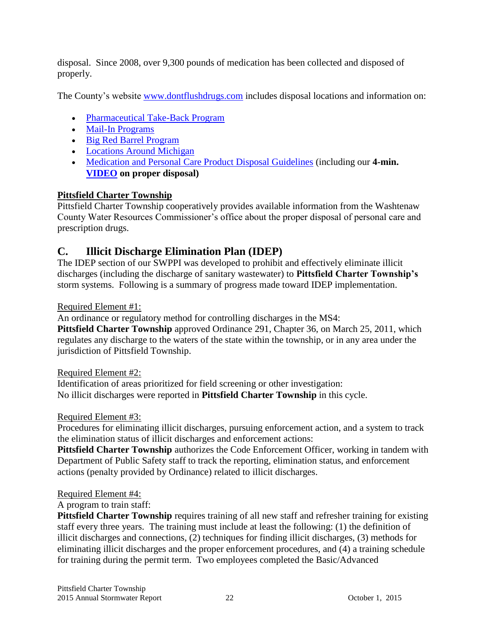disposal. Since 2008, over 9,300 pounds of medication has been collected and disposed of properly.

The County's website [www.dontflushdrugs.com](http://www.dontflushdrugs.com/) includes disposal locations and information on:

- [Pharmaceutical Take-Back Program](http://www.ewashtenaw.org/government/departments/environmental_health/recycling_home_toxics/medication_disposal/frontpage#takeback)
- [Mail-In Programs](http://www.ewashtenaw.org/government/departments/environmental_health/recycling_home_toxics/medication_disposal/frontpage#mail-in-programs)
- [Big Red Barrel Program](http://www.ewashtenaw.org/government/departments/environmental_health/recycling_home_toxics/medication_disposal/resolveuid/98a04ecad6ecaa6ee337b6fd8e36a7a0#brb)
- [Locations Around Michigan](http://www.ewashtenaw.org/government/departments/environmental_health/recycling_home_toxics/medication_disposal/frontpage#locations-around-michigan)
- [Medication and Personal Care Product Disposal Guidelines](http://www.ewashtenaw.org/government/departments/environmental_health/recycling_home_toxics/medication_disposal/frontpage#disposal) (including our **4-min. [VIDEO](http://www.ewashtenaw.org/government/departments/environmental_health/recycling_home_toxics/medication_disposal/frontpage#disposal) on proper disposal)**

## **Pittsfield Charter Township**

Pittsfield Charter Township cooperatively provides available information from the Washtenaw County Water Resources Commissioner's office about the proper disposal of personal care and prescription drugs.

# **C. Illicit Discharge Elimination Plan (IDEP)**

The IDEP section of our SWPPI was developed to prohibit and effectively eliminate illicit discharges (including the discharge of sanitary wastewater) to **Pittsfield Charter Township's** storm systems. Following is a summary of progress made toward IDEP implementation.

## Required Element #1:

An ordinance or regulatory method for controlling discharges in the MS4:

**Pittsfield Charter Township** approved Ordinance 291, Chapter 36, on March 25, 2011, which regulates any discharge to the waters of the state within the township, or in any area under the jurisdiction of Pittsfield Township.

## Required Element #2:

Identification of areas prioritized for field screening or other investigation: No illicit discharges were reported in **Pittsfield Charter Township** in this cycle.

## Required Element #3:

Procedures for eliminating illicit discharges, pursuing enforcement action, and a system to track the elimination status of illicit discharges and enforcement actions:

**Pittsfield Charter Township** authorizes the Code Enforcement Officer, working in tandem with Department of Public Safety staff to track the reporting, elimination status, and enforcement actions (penalty provided by Ordinance) related to illicit discharges.

## Required Element #4:

## A program to train staff:

**Pittsfield Charter Township** requires training of all new staff and refresher training for existing staff every three years. The training must include at least the following: (1) the definition of illicit discharges and connections, (2) techniques for finding illicit discharges, (3) methods for eliminating illicit discharges and the proper enforcement procedures, and (4) a training schedule for training during the permit term. Two employees completed the Basic/Advanced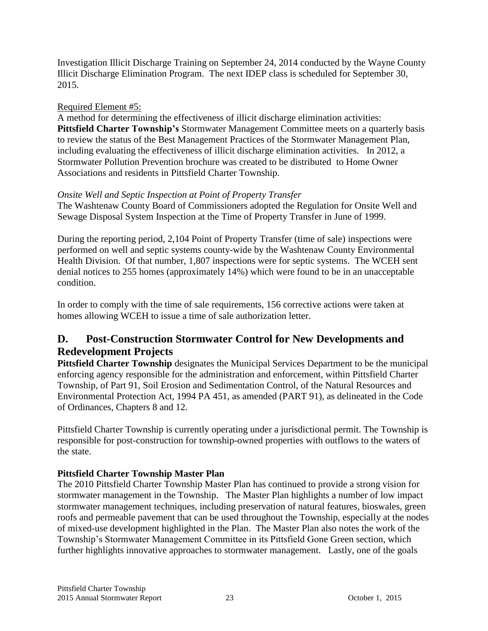Investigation Illicit Discharge Training on September 24, 2014 conducted by the Wayne County Illicit Discharge Elimination Program. The next IDEP class is scheduled for September 30, 2015.

### Required Element #5:

A method for determining the effectiveness of illicit discharge elimination activities: **Pittsfield Charter Township's** Stormwater Management Committee meets on a quarterly basis to review the status of the Best Management Practices of the Stormwater Management Plan, including evaluating the effectiveness of illicit discharge elimination activities. In 2012, a Stormwater Pollution Prevention brochure was created to be distributed to Home Owner Associations and residents in Pittsfield Charter Township.

## *Onsite Well and Septic Inspection at Point of Property Transfer*

The Washtenaw County Board of Commissioners adopted the Regulation for Onsite Well and Sewage Disposal System Inspection at the Time of Property Transfer in June of 1999.

During the reporting period, 2,104 Point of Property Transfer (time of sale) inspections were performed on well and septic systems county-wide by the Washtenaw County Environmental Health Division. Of that number, 1,807 inspections were for septic systems. The WCEH sent denial notices to 255 homes (approximately 14%) which were found to be in an unacceptable condition.

In order to comply with the time of sale requirements, 156 corrective actions were taken at homes allowing WCEH to issue a time of sale authorization letter.

# **D. Post-Construction Stormwater Control for New Developments and Redevelopment Projects**

**Pittsfield Charter Township** designates the Municipal Services Department to be the municipal enforcing agency responsible for the administration and enforcement, within Pittsfield Charter Township, of Part 91, Soil Erosion and Sedimentation Control, of the Natural Resources and Environmental Protection Act, 1994 PA 451, as amended (PART 91), as delineated in the Code of Ordinances, Chapters 8 and 12.

Pittsfield Charter Township is currently operating under a jurisdictional permit. The Township is responsible for post-construction for township-owned properties with outflows to the waters of the state.

## **Pittsfield Charter Township Master Plan**

The 2010 Pittsfield Charter Township Master Plan has continued to provide a strong vision for stormwater management in the Township. The Master Plan highlights a number of low impact stormwater management techniques, including preservation of natural features, bioswales, green roofs and permeable pavement that can be used throughout the Township, especially at the nodes of mixed-use development highlighted in the Plan. The Master Plan also notes the work of the Township's Stormwater Management Committee in its Pittsfield Gone Green section, which further highlights innovative approaches to stormwater management. Lastly, one of the goals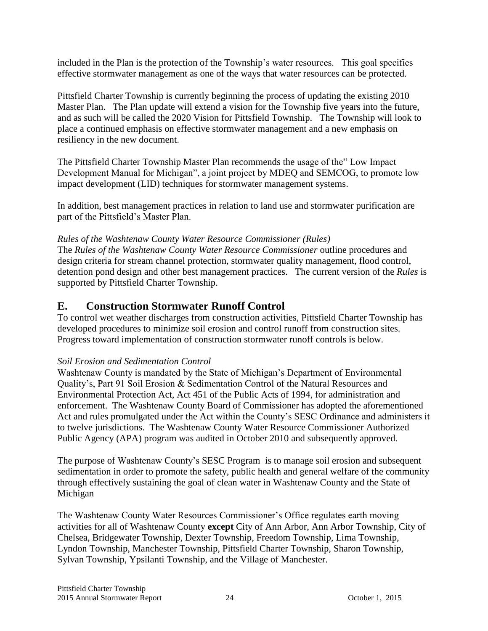included in the Plan is the protection of the Township's water resources. This goal specifies effective stormwater management as one of the ways that water resources can be protected.

Pittsfield Charter Township is currently beginning the process of updating the existing 2010 Master Plan. The Plan update will extend a vision for the Township five years into the future, and as such will be called the 2020 Vision for Pittsfield Township. The Township will look to place a continued emphasis on effective stormwater management and a new emphasis on resiliency in the new document.

The Pittsfield Charter Township Master Plan recommends the usage of the" Low Impact Development Manual for Michigan", a joint project by MDEQ and SEMCOG, to promote low impact development (LID) techniques for stormwater management systems.

In addition, best management practices in relation to land use and stormwater purification are part of the Pittsfield's Master Plan.

## *Rules of the Washtenaw County Water Resource Commissioner (Rules)*

The *Rules of the Washtenaw County Water Resource Commissioner* outline procedures and design criteria for stream channel protection, stormwater quality management, flood control, detention pond design and other best management practices. The current version of the *Rules* is supported by Pittsfield Charter Township.

## **E. Construction Stormwater Runoff Control**

To control wet weather discharges from construction activities, Pittsfield Charter Township has developed procedures to minimize soil erosion and control runoff from construction sites. Progress toward implementation of construction stormwater runoff controls is below.

### *Soil Erosion and Sedimentation Control*

Washtenaw County is mandated by the State of Michigan's Department of Environmental Quality's, Part 91 Soil Erosion & Sedimentation Control of the Natural Resources and Environmental Protection Act, Act 451 of the Public Acts of 1994, for administration and enforcement. The Washtenaw County Board of Commissioner has adopted the aforementioned Act and rules promulgated under the Act within the County's SESC Ordinance and administers it to twelve jurisdictions. The Washtenaw County Water Resource Commissioner Authorized Public Agency (APA) program was audited in October 2010 and subsequently approved.

The purpose of Washtenaw County's SESC Program is to manage soil erosion and subsequent sedimentation in order to promote the safety, public health and general welfare of the community through effectively sustaining the goal of clean water in Washtenaw County and the State of Michigan

The Washtenaw County Water Resources Commissioner's Office regulates earth moving activities for all of Washtenaw County **except** City of Ann Arbor, Ann Arbor Township, City of Chelsea, Bridgewater Township, Dexter Township, Freedom Township, Lima Township, Lyndon Township, Manchester Township, Pittsfield Charter Township, Sharon Township, Sylvan Township, Ypsilanti Township, and the Village of Manchester.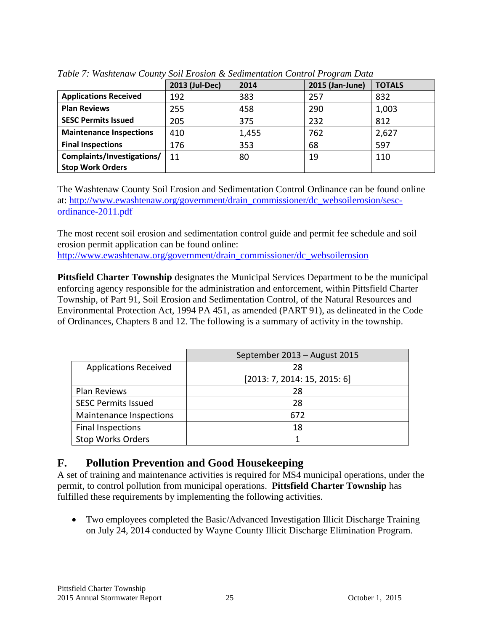|                                | 2013 (Jul-Dec) | 2014  | 2015 (Jan-June) | <b>TOTALS</b> |
|--------------------------------|----------------|-------|-----------------|---------------|
| <b>Applications Received</b>   | 192            | 383   | 257             | 832           |
| <b>Plan Reviews</b>            | 255            | 458   | 290             | 1,003         |
| <b>SESC Permits Issued</b>     | 205            | 375   | 232             | 812           |
| <b>Maintenance Inspections</b> | 410            | 1,455 | 762             | 2,627         |
| <b>Final Inspections</b>       | 176            | 353   | 68              | 597           |
| Complaints/Investigations/     | 11             | 80    | 19              | 110           |
| <b>Stop Work Orders</b>        |                |       |                 |               |

*Table 7: Washtenaw County Soil Erosion & Sedimentation Control Program Data*

The Washtenaw County Soil Erosion and Sedimentation Control Ordinance can be found online at: [http://www.ewashtenaw.org/government/drain\\_commissioner/dc\\_websoilerosion/sesc](http://www.ewashtenaw.org/government/drain_commissioner/dc_websoilerosion/sesc-ordinance-2011.pdf)[ordinance-2011.pdf](http://www.ewashtenaw.org/government/drain_commissioner/dc_websoilerosion/sesc-ordinance-2011.pdf)

The most recent soil erosion and sedimentation control guide and permit fee schedule and soil erosion permit application can be found online: [http://www.ewashtenaw.org/government/drain\\_commissioner/dc\\_websoilerosion](http://www.ewashtenaw.org/government/drain_commissioner/dc_websoilerosion)

**Pittsfield Charter Township** designates the Municipal Services Department to be the municipal enforcing agency responsible for the administration and enforcement, within Pittsfield Charter Township, of Part 91, Soil Erosion and Sedimentation Control, of the Natural Resources and Environmental Protection Act, 1994 PA 451, as amended (PART 91), as delineated in the Code of Ordinances, Chapters 8 and 12. The following is a summary of activity in the township.

|                              | September 2013 - August 2015 |  |  |
|------------------------------|------------------------------|--|--|
| <b>Applications Received</b> | 28                           |  |  |
|                              | [2013:7, 2014:15, 2015:6]    |  |  |
| Plan Reviews                 | 28                           |  |  |
| <b>SESC Permits Issued</b>   | 28                           |  |  |
| Maintenance Inspections      | 672                          |  |  |
| <b>Final Inspections</b>     | 18                           |  |  |
| <b>Stop Works Orders</b>     |                              |  |  |

## **F. Pollution Prevention and Good Housekeeping**

A set of training and maintenance activities is required for MS4 municipal operations, under the permit, to control pollution from municipal operations. **Pittsfield Charter Township** has fulfilled these requirements by implementing the following activities.

 Two employees completed the Basic/Advanced Investigation Illicit Discharge Training on July 24, 2014 conducted by Wayne County Illicit Discharge Elimination Program.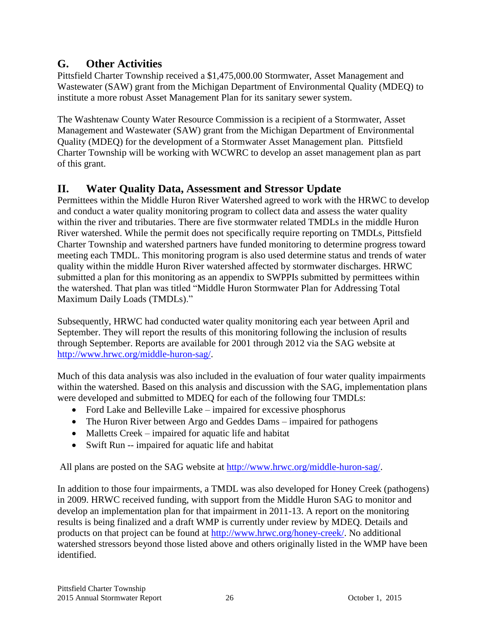## **G. Other Activities**

Pittsfield Charter Township received a \$1,475,000.00 Stormwater, Asset Management and Wastewater (SAW) grant from the Michigan Department of Environmental Quality (MDEQ) to institute a more robust Asset Management Plan for its sanitary sewer system.

The Washtenaw County Water Resource Commission is a recipient of a Stormwater, Asset Management and Wastewater (SAW) grant from the Michigan Department of Environmental Quality (MDEQ) for the development of a Stormwater Asset Management plan. Pittsfield Charter Township will be working with WCWRC to develop an asset management plan as part of this grant.

# **II. Water Quality Data, Assessment and Stressor Update**

Permittees within the Middle Huron River Watershed agreed to work with the HRWC to develop and conduct a water quality monitoring program to collect data and assess the water quality within the river and tributaries. There are five stormwater related TMDLs in the middle Huron River watershed. While the permit does not specifically require reporting on TMDLs, Pittsfield Charter Township and watershed partners have funded monitoring to determine progress toward meeting each TMDL. This monitoring program is also used determine status and trends of water quality within the middle Huron River watershed affected by stormwater discharges. HRWC submitted a plan for this monitoring as an appendix to SWPPIs submitted by permittees within the watershed. That plan was titled "Middle Huron Stormwater Plan for Addressing Total Maximum Daily Loads (TMDLs)."

Subsequently, HRWC had conducted water quality monitoring each year between April and September. They will report the results of this monitoring following the inclusion of results through September. Reports are available for 2001 through 2012 via the SAG website at [http://www.hrwc.org/middle-huron-sag/.](http://www.hrwc.org/middle-huron-sag/)

Much of this data analysis was also included in the evaluation of four water quality impairments within the watershed. Based on this analysis and discussion with the SAG, implementation plans were developed and submitted to MDEQ for each of the following four TMDLs:

- Ford Lake and Belleville Lake impaired for excessive phosphorus
- The Huron River between Argo and Geddes Dams impaired for pathogens
- Malletts Creek impaired for aquatic life and habitat
- Swift Run -- impaired for aquatic life and habitat

All plans are posted on the SAG website at [http://www.hrwc.org/middle-huron-sag/.](http://www.hrwc.org/middle-huron-sag/)

In addition to those four impairments, a TMDL was also developed for Honey Creek (pathogens) in 2009. HRWC received funding, with support from the Middle Huron SAG to monitor and develop an implementation plan for that impairment in 2011-13. A report on the monitoring results is being finalized and a draft WMP is currently under review by MDEQ. Details and products on that project can be found at [http://www.hrwc.org/honey-creek/.](http://www.hrwc.org/honey-creek/) No additional watershed stressors beyond those listed above and others originally listed in the WMP have been identified.